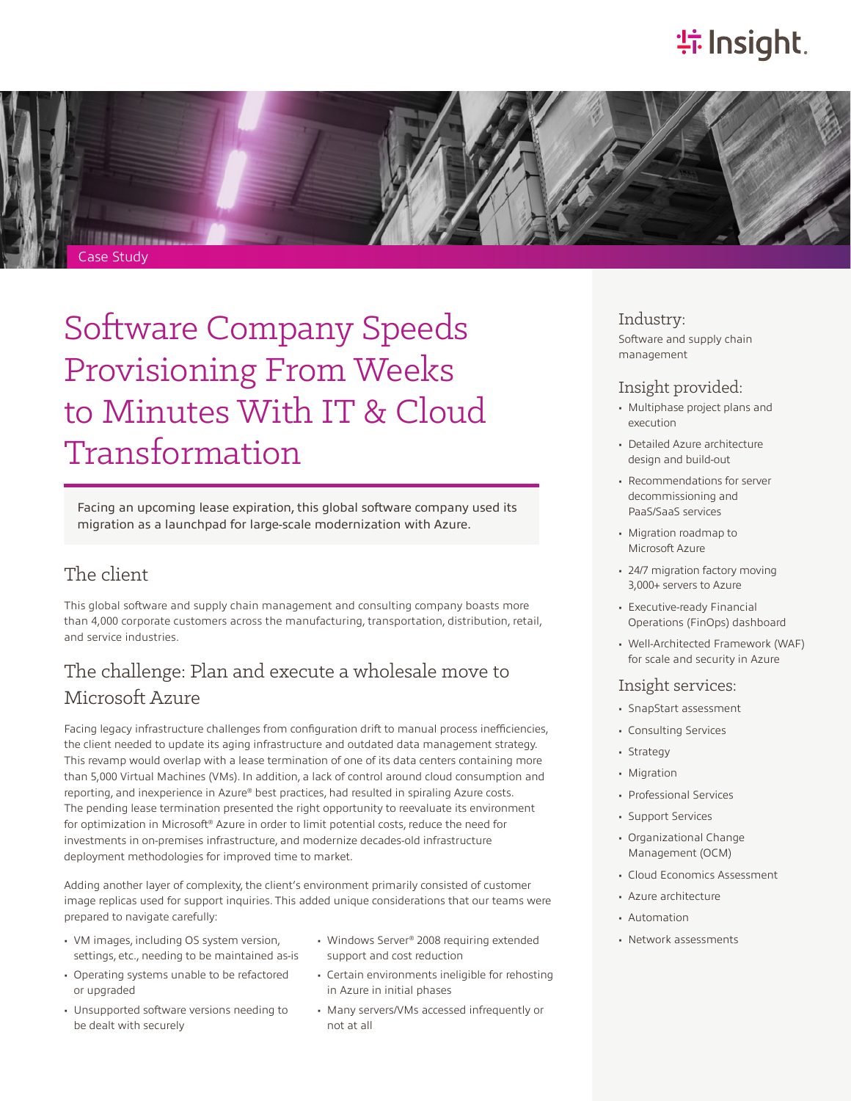## **特Insight**



## Software Company Speeds Provisioning From Weeks to Minutes With IT & Cloud Transformation

Facing an upcoming lease expiration, this global software company used its migration as a launchpad for large-scale modernization with Azure.

### The client

This global software and supply chain management and consulting company boasts more than 4,000 corporate customers across the manufacturing, transportation, distribution, retail, and service industries.

### The challenge: Plan and execute a wholesale move to Microsoft Azure

Facing legacy infrastructure challenges from configuration drift to manual process inefficiencies, the client needed to update its aging infrastructure and outdated data management strategy. This revamp would overlap with a lease termination of one of its data centers containing more than 5,000 Virtual Machines (VMs). In addition, a lack of control around cloud consumption and reporting, and inexperience in Azure® best practices, had resulted in spiraling Azure costs. The pending lease termination presented the right opportunity to reevaluate its environment for optimization in Microsoft® Azure in order to limit potential costs, reduce the need for investments in on-premises infrastructure, and modernize decades-old infrastructure deployment methodologies for improved time to market.

Adding another layer of complexity, the client's environment primarily consisted of customer image replicas used for support inquiries. This added unique considerations that our teams were prepared to navigate carefully:

- VM images, including OS system version, settings, etc., needing to be maintained as-is
- Operating systems unable to be refactored or upgraded
- Unsupported software versions needing to be dealt with securely
- Windows Server® 2008 requiring extended support and cost reduction
- Certain environments ineligible for rehosting in Azure in initial phases
- Many servers/VMs accessed infrequently or not at all

### Industry:

Software and supply chain management

#### Insight provided:

- Multiphase project plans and execution
- Detailed Azure architecture design and build-out
- Recommendations for server decommissioning and PaaS/SaaS services
- Migration roadmap to Microsoft Azure
- 24/7 migration factory moving 3,000+ servers to Azure
- Executive-ready Financial Operations (FinOps) dashboard
- Well-Architected Framework (WAF) for scale and security in Azure

#### Insight services:

- SnapStart assessment
- Consulting Services
- Strategy
- Migration
- Professional Services
- Support Services
- Organizational Change Management (OCM)
- Cloud Economics Assessment
- Azure architecture
- Automation
- Network assessments